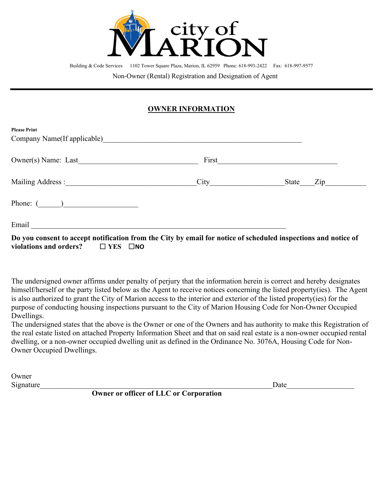

Building & Code Services 1102 Tower Square Plaza, Marion, IL 62959 Phone: 618-993-2422 Fax: 618-997-9577

Non-Owner (Rental) Registration and Designation of Agent

## **OWNER INFORMATION**

| <b>Please Print</b>                                                                                                     |       |       |                  |
|-------------------------------------------------------------------------------------------------------------------------|-------|-------|------------------|
| Company Name(If applicable)                                                                                             |       |       |                  |
| Owner(s) Name: Last                                                                                                     | First |       |                  |
| Mailing Address :                                                                                                       | City  | State | $\overline{Lip}$ |
| Phone: $($ )                                                                                                            |       |       |                  |
| Email<br>Do vay consent to accept notification from the City by email for notice of schoduled inspections and notice of |       |       |                  |

**Do you consent to accept notification from the City by email for notice of scheduled inspections and notice of violations and orders?** ☐ **YES** ☐**NO**

The undersigned owner affirms under penalty of perjury that the information herein is correct and hereby designates himself/herself or the party listed below as the Agent to receive notices concerning the listed property(ies). The Agent is also authorized to grant the City of Marion access to the interior and exterior of the listed property(ies) for the purpose of conducting housing inspections pursuant to the City of Marion Housing Code for Non-Owner Occupied Dwellings.

The undersigned states that the above is the Owner or one of the Owners and has authority to make this Registration of the real estate listed on attached Property Information Sheet and that on said real estate is a non-owner occupied rental dwelling, or a non-owner occupied dwelling unit as defined in the Ordinance No. 3076A, Housing Code for Non-Owner Occupied Dwellings.

Owner Signature\_\_\_\_\_\_\_\_\_\_\_\_\_\_\_\_\_\_\_\_\_\_\_\_\_\_\_\_\_\_\_\_\_\_\_\_\_\_\_\_\_\_\_\_\_\_\_\_\_\_\_\_\_\_\_\_\_\_\_\_\_\_Date\_\_\_\_\_\_\_\_\_\_\_\_\_\_\_\_\_\_

 **Owner or officer of LLC or Corporation**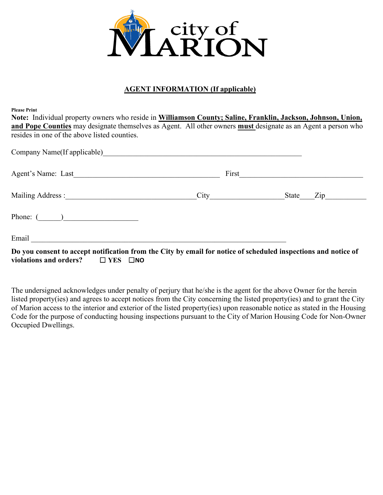

## **AGENT INFORMATION (If applicable)**

**Please Print**

**Note:** Individual property owners who reside in **Williamson County; Saline, Franklin, Jackson, Johnson, Union, and Pope Counties** may designate themselves as Agent. All other owners **must** designate as an Agent a person who resides in one of the above listed counties.

| Company Name(If applicable)<br><u>Company</u> Name(If applicable)                                                                                                                                                             |  |
|-------------------------------------------------------------------------------------------------------------------------------------------------------------------------------------------------------------------------------|--|
|                                                                                                                                                                                                                               |  |
|                                                                                                                                                                                                                               |  |
| Phone: $(\_\_)$                                                                                                                                                                                                               |  |
| Email and the contract of the contract of the contract of the contract of the contract of the contract of the contract of the contract of the contract of the contract of the contract of the contract of the contract of the |  |
| Do you consent to accept notification from the City by email for notice of scheduled inspections and notice of<br>violations and orders? $\Box$ YES $\Box$ NO                                                                 |  |

The undersigned acknowledges under penalty of perjury that he/she is the agent for the above Owner for the herein listed property(ies) and agrees to accept notices from the City concerning the listed property(ies) and to grant the City of Marion access to the interior and exterior of the listed property(ies) upon reasonable notice as stated in the Housing Code for the purpose of conducting housing inspections pursuant to the City of Marion Housing Code for Non-Owner Occupied Dwellings.